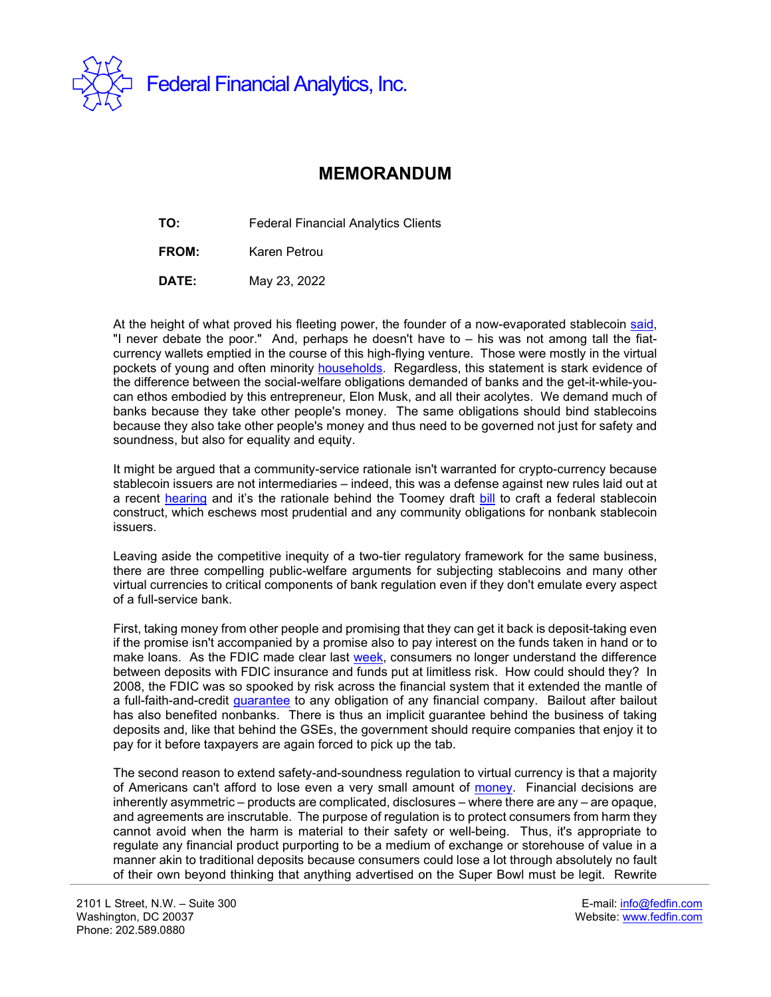

## **MEMORANDUM**

**TO:** Federal Financial Analytics Clients

**FROM:** Karen Petrou

**DATE:** May 23, 2022

At the height of what proved his fleeting power, the founder of a now-evaporated stablecoin [said,](https://www.nytimes.com/2022/05/18/technology/terra-luna-cryptocurrency-do-kwon.html) "I never debate the poor." And, perhaps he doesn't have to – his was not among tall the fiatcurrency wallets emptied in the course of this high-flying venture. Those were mostly in the virtual pockets of young and often minority [households.](https://thehill.com/opinion/finance/572411-crypto-risk-takers-arent-crazy-theyre-just-desperate/) Regardless, this statement is stark evidence of the difference between the social-welfare obligations demanded of banks and the get-it-while-youcan ethos embodied by this entrepreneur, Elon Musk, and all their acolytes. We demand much of banks because they take other people's money. The same obligations should bind stablecoins because they also take other people's money and thus need to be governed not just for safety and soundness, but also for equality and equity.

It might be argued that a community-service rationale isn't warranted for crypto-currency because stablecoin issuers are not intermediaries – indeed, this was a defense against new rules laid out at a recent [hearing](https://fedfin.com/wp-content/uploads/2022/05/FSOC27.pdf) and it's the rationale behind the Toomey draft [bill](https://fedfin.com/wp-content/uploads/2022/05/CRYPTO27.pdf) to craft a federal stablecoin construct, which eschews most prudential and any community obligations for nonbank stablecoin issuers.

Leaving aside the competitive inequity of a two-tier regulatory framework for the same business, there are three compelling public-welfare arguments for subjecting stablecoins and many other virtual currencies to critical components of bank regulation even if they don't emulate every aspect of a full-service bank.

First, taking money from other people and promising that they can get it back is deposit-taking even if the promise isn't accompanied by a promise also to pay interest on the funds taken in hand or to make loans. As the FDIC made clear last [week,](https://fedfin.com/wp-content/uploads/2022/05/Daily051722.pdf) consumers no longer understand the difference between deposits with FDIC insurance and funds put at limitless risk. How could should they? In 2008, the FDIC was so spooked by risk across the financial system that it extended the mantle of a full-faith-and-credit [guarantee](https://fedfin.com/wp-content/uploads/2008/11/SBA34.pdf) to any obligation of any financial company. Bailout after bailout has also benefited nonbanks. There is thus an implicit guarantee behind the business of taking deposits and, like that behind the GSEs, the government should require companies that enjoy it to pay for it before taxpayers are again forced to pick up the tab.

The second reason to extend safety-and-soundness regulation to virtual currency is that a majority of Americans can't afford to lose even a very small amount of [money.](https://hcdc.clubs.harvard.edu/article.html?aid=2255) Financial decisions are inherently asymmetric – products are complicated, disclosures – where there are any – are opaque, and agreements are inscrutable. The purpose of regulation is to protect consumers from harm they cannot avoid when the harm is material to their safety or well-being. Thus, it's appropriate to regulate any financial product purporting to be a medium of exchange or storehouse of value in a manner akin to traditional deposits because consumers could lose a lot through absolutely no fault of their own beyond thinking that anything advertised on the Super Bowl must be legit. Rewrite